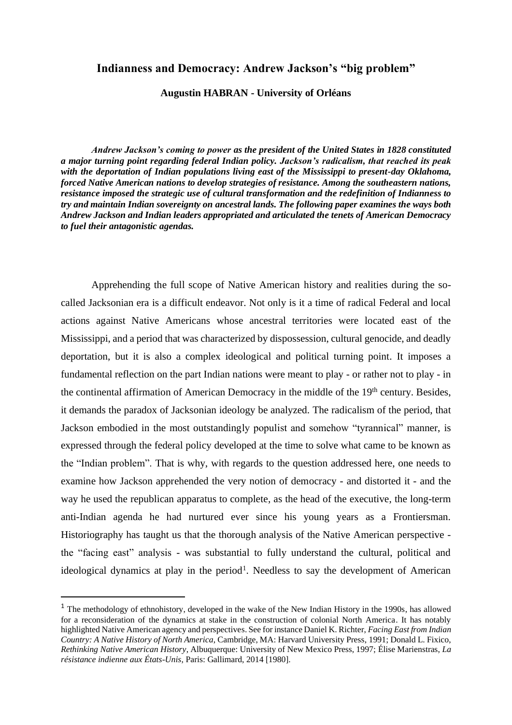# **Indianness and Democracy: Andrew Jackson's "big problem"**

## **Augustin HABRAN - University of Orléans**

*Andrew Jackson's coming to power as the president of the United States in 1828 constituted a major turning point regarding federal Indian policy. Jackson's radicalism, that reached its peak with the deportation of Indian populations living east of the Mississippi to present-day Oklahoma, forced Native American nations to develop strategies of resistance. Among the southeastern nations, resistance imposed the strategic use of cultural transformation and the redefinition of Indianness to try and maintain Indian sovereignty on ancestral lands. The following paper examines the ways both Andrew Jackson and Indian leaders appropriated and articulated the tenets of American Democracy to fuel their antagonistic agendas.*

Apprehending the full scope of Native American history and realities during the socalled Jacksonian era is a difficult endeavor. Not only is it a time of radical Federal and local actions against Native Americans whose ancestral territories were located east of the Mississippi, and a period that was characterized by dispossession, cultural genocide, and deadly deportation, but it is also a complex ideological and political turning point. It imposes a fundamental reflection on the part Indian nations were meant to play - or rather not to play - in the continental affirmation of American Democracy in the middle of the 19<sup>th</sup> century. Besides, it demands the paradox of Jacksonian ideology be analyzed. The radicalism of the period, that Jackson embodied in the most outstandingly populist and somehow "tyrannical" manner, is expressed through the federal policy developed at the time to solve what came to be known as the "Indian problem". That is why, with regards to the question addressed here, one needs to examine how Jackson apprehended the very notion of democracy - and distorted it - and the way he used the republican apparatus to complete, as the head of the executive, the long-term anti-Indian agenda he had nurtured ever since his young years as a Frontiersman. Historiography has taught us that the thorough analysis of the Native American perspective the "facing east" analysis - was substantial to fully understand the cultural, political and ideological dynamics at play in the period<sup>1</sup>. Needless to say the development of American

<sup>&</sup>lt;sup>1</sup> The methodology of ethnohistory, developed in the wake of the New Indian History in the 1990s, has allowed for a reconsideration of the dynamics at stake in the construction of colonial North America. It has notably highlighted Native American agency and perspectives. See for instance Daniel K. Richter, *Facing East from Indian Country: A Native History of North America*, Cambridge, MA: Harvard University Press, 1991; Donald L. Fixico, *Rethinking Native American History*, Albuquerque: University of New Mexico Press, 1997; Élise Marienstras, *La résistance indienne aux États-Unis*, Paris: Gallimard, 2014 [1980].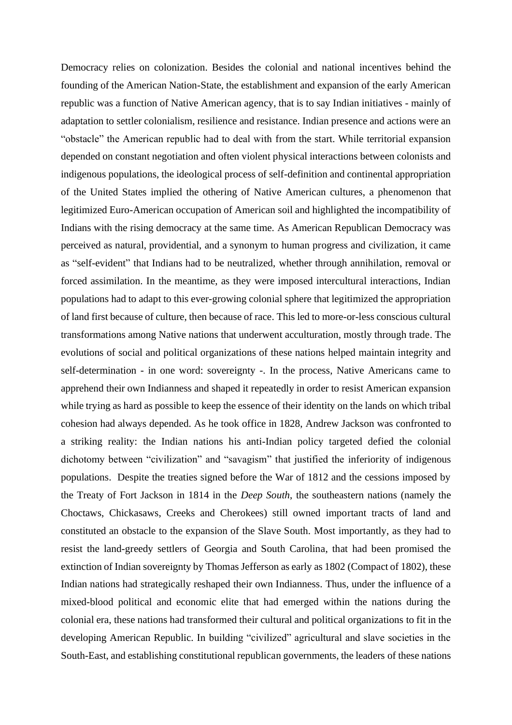Democracy relies on colonization. Besides the colonial and national incentives behind the founding of the American Nation-State, the establishment and expansion of the early American republic was a function of Native American agency, that is to say Indian initiatives - mainly of adaptation to settler colonialism, resilience and resistance. Indian presence and actions were an "obstacle" the American republic had to deal with from the start. While territorial expansion depended on constant negotiation and often violent physical interactions between colonists and indigenous populations, the ideological process of self-definition and continental appropriation of the United States implied the othering of Native American cultures, a phenomenon that legitimized Euro-American occupation of American soil and highlighted the incompatibility of Indians with the rising democracy at the same time. As American Republican Democracy was perceived as natural, providential, and a synonym to human progress and civilization, it came as "self-evident" that Indians had to be neutralized, whether through annihilation, removal or forced assimilation. In the meantime, as they were imposed intercultural interactions, Indian populations had to adapt to this ever-growing colonial sphere that legitimized the appropriation of land first because of culture, then because of race. This led to more-or-less conscious cultural transformations among Native nations that underwent acculturation, mostly through trade. The evolutions of social and political organizations of these nations helped maintain integrity and self-determination - in one word: sovereignty -. In the process, Native Americans came to apprehend their own Indianness and shaped it repeatedly in order to resist American expansion while trying as hard as possible to keep the essence of their identity on the lands on which tribal cohesion had always depended. As he took office in 1828, Andrew Jackson was confronted to a striking reality: the Indian nations his anti-Indian policy targeted defied the colonial dichotomy between "civilization" and "savagism" that justified the inferiority of indigenous populations. Despite the treaties signed before the War of 1812 and the cessions imposed by the Treaty of Fort Jackson in 1814 in the *Deep South*, the southeastern nations (namely the Choctaws, Chickasaws, Creeks and Cherokees) still owned important tracts of land and constituted an obstacle to the expansion of the Slave South. Most importantly, as they had to resist the land-greedy settlers of Georgia and South Carolina, that had been promised the extinction of Indian sovereignty by Thomas Jefferson as early as 1802 (Compact of 1802), these Indian nations had strategically reshaped their own Indianness. Thus, under the influence of a mixed-blood political and economic elite that had emerged within the nations during the colonial era, these nations had transformed their cultural and political organizations to fit in the developing American Republic. In building "civilized" agricultural and slave societies in the South-East, and establishing constitutional republican governments, the leaders of these nations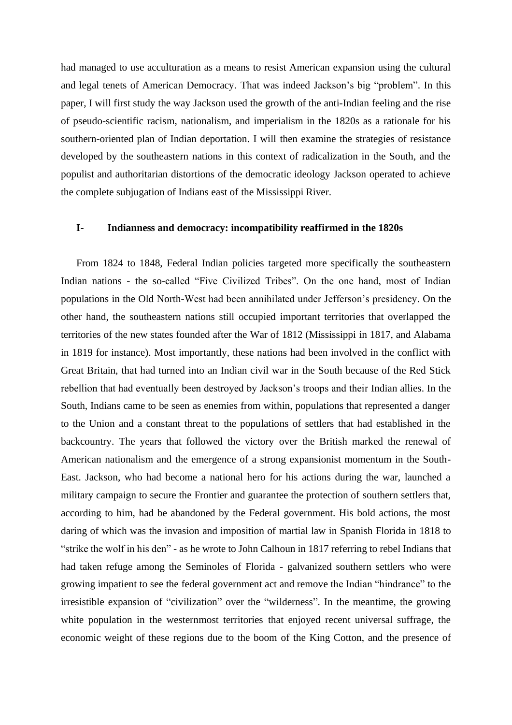had managed to use acculturation as a means to resist American expansion using the cultural and legal tenets of American Democracy. That was indeed Jackson's big "problem". In this paper, I will first study the way Jackson used the growth of the anti-Indian feeling and the rise of pseudo-scientific racism, nationalism, and imperialism in the 1820s as a rationale for his southern-oriented plan of Indian deportation. I will then examine the strategies of resistance developed by the southeastern nations in this context of radicalization in the South, and the populist and authoritarian distortions of the democratic ideology Jackson operated to achieve the complete subjugation of Indians east of the Mississippi River.

### **I- Indianness and democracy: incompatibility reaffirmed in the 1820s**

From 1824 to 1848, Federal Indian policies targeted more specifically the southeastern Indian nations - the so-called "Five Civilized Tribes". On the one hand, most of Indian populations in the Old North-West had been annihilated under Jefferson's presidency. On the other hand, the southeastern nations still occupied important territories that overlapped the territories of the new states founded after the War of 1812 (Mississippi in 1817, and Alabama in 1819 for instance). Most importantly, these nations had been involved in the conflict with Great Britain, that had turned into an Indian civil war in the South because of the Red Stick rebellion that had eventually been destroyed by Jackson's troops and their Indian allies. In the South, Indians came to be seen as enemies from within, populations that represented a danger to the Union and a constant threat to the populations of settlers that had established in the backcountry. The years that followed the victory over the British marked the renewal of American nationalism and the emergence of a strong expansionist momentum in the South-East. Jackson, who had become a national hero for his actions during the war, launched a military campaign to secure the Frontier and guarantee the protection of southern settlers that, according to him, had be abandoned by the Federal government. His bold actions, the most daring of which was the invasion and imposition of martial law in Spanish Florida in 1818 to "strike the wolf in his den" - as he wrote to John Calhoun in 1817 referring to rebel Indians that had taken refuge among the Seminoles of Florida - galvanized southern settlers who were growing impatient to see the federal government act and remove the Indian "hindrance" to the irresistible expansion of "civilization" over the "wilderness". In the meantime, the growing white population in the westernmost territories that enjoyed recent universal suffrage, the economic weight of these regions due to the boom of the King Cotton, and the presence of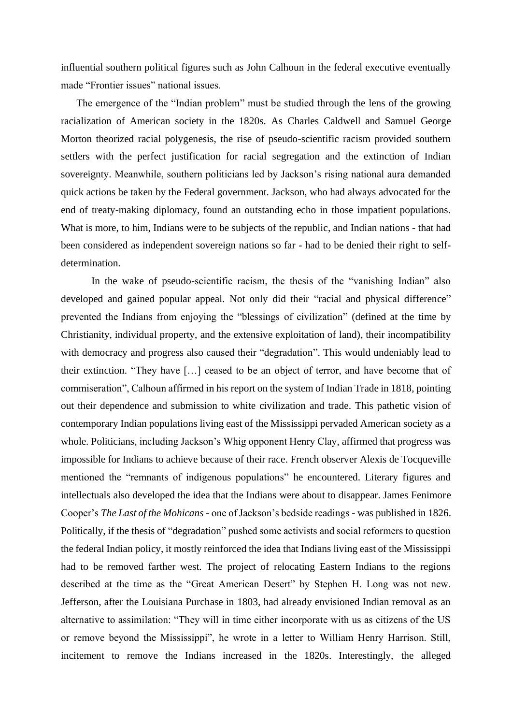influential southern political figures such as John Calhoun in the federal executive eventually made "Frontier issues" national issues.

The emergence of the "Indian problem" must be studied through the lens of the growing racialization of American society in the 1820s. As Charles Caldwell and Samuel George Morton theorized racial polygenesis, the rise of pseudo-scientific racism provided southern settlers with the perfect justification for racial segregation and the extinction of Indian sovereignty. Meanwhile, southern politicians led by Jackson's rising national aura demanded quick actions be taken by the Federal government. Jackson, who had always advocated for the end of treaty-making diplomacy, found an outstanding echo in those impatient populations. What is more, to him, Indians were to be subjects of the republic, and Indian nations - that had been considered as independent sovereign nations so far - had to be denied their right to selfdetermination.

In the wake of pseudo-scientific racism, the thesis of the "vanishing Indian" also developed and gained popular appeal. Not only did their "racial and physical difference" prevented the Indians from enjoying the "blessings of civilization" (defined at the time by Christianity, individual property, and the extensive exploitation of land), their incompatibility with democracy and progress also caused their "degradation". This would undeniably lead to their extinction. "They have […] ceased to be an object of terror, and have become that of commiseration", Calhoun affirmed in his report on the system of Indian Trade in 1818, pointing out their dependence and submission to white civilization and trade. This pathetic vision of contemporary Indian populations living east of the Mississippi pervaded American society as a whole. Politicians, including Jackson's Whig opponent Henry Clay, affirmed that progress was impossible for Indians to achieve because of their race. French observer Alexis de Tocqueville mentioned the "remnants of indigenous populations" he encountered. Literary figures and intellectuals also developed the idea that the Indians were about to disappear. James Fenimore Cooper's *The Last of the Mohicans* - one of Jackson's bedside readings - was published in 1826. Politically, if the thesis of "degradation" pushed some activists and social reformers to question the federal Indian policy, it mostly reinforced the idea that Indians living east of the Mississippi had to be removed farther west. The project of relocating Eastern Indians to the regions described at the time as the "Great American Desert" by Stephen H. Long was not new. Jefferson, after the Louisiana Purchase in 1803, had already envisioned Indian removal as an alternative to assimilation: "They will in time either incorporate with us as citizens of the US or remove beyond the Mississippi", he wrote in a letter to William Henry Harrison. Still, incitement to remove the Indians increased in the 1820s. Interestingly, the alleged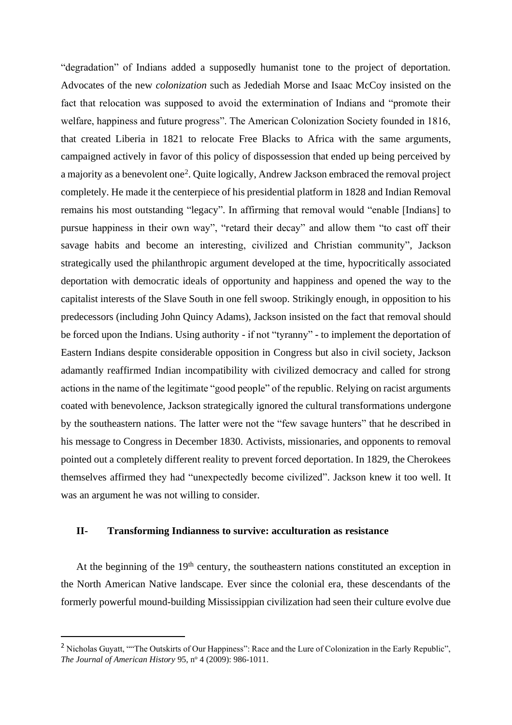"degradation" of Indians added a supposedly humanist tone to the project of deportation. Advocates of the new *colonization* such as Jedediah Morse and Isaac McCoy insisted on the fact that relocation was supposed to avoid the extermination of Indians and "promote their welfare, happiness and future progress". The American Colonization Society founded in 1816, that created Liberia in 1821 to relocate Free Blacks to Africa with the same arguments, campaigned actively in favor of this policy of dispossession that ended up being perceived by a majority as a benevolent one<sup>2</sup>. Quite logically, Andrew Jackson embraced the removal project completely. He made it the centerpiece of his presidential platform in 1828 and Indian Removal remains his most outstanding "legacy". In affirming that removal would "enable [Indians] to pursue happiness in their own way", "retard their decay" and allow them "to cast off their savage habits and become an interesting, civilized and Christian community", Jackson strategically used the philanthropic argument developed at the time, hypocritically associated deportation with democratic ideals of opportunity and happiness and opened the way to the capitalist interests of the Slave South in one fell swoop. Strikingly enough, in opposition to his predecessors (including John Quincy Adams), Jackson insisted on the fact that removal should be forced upon the Indians. Using authority - if not "tyranny" - to implement the deportation of Eastern Indians despite considerable opposition in Congress but also in civil society, Jackson adamantly reaffirmed Indian incompatibility with civilized democracy and called for strong actions in the name of the legitimate "good people" of the republic. Relying on racist arguments coated with benevolence, Jackson strategically ignored the cultural transformations undergone by the southeastern nations. The latter were not the "few savage hunters" that he described in his message to Congress in December 1830. Activists, missionaries, and opponents to removal pointed out a completely different reality to prevent forced deportation. In 1829, the Cherokees themselves affirmed they had "unexpectedly become civilized". Jackson knew it too well. It was an argument he was not willing to consider.

## **II- Transforming Indianness to survive: acculturation as resistance**

At the beginning of the 19<sup>th</sup> century, the southeastern nations constituted an exception in the North American Native landscape. Ever since the colonial era, these descendants of the formerly powerful mound-building Mississippian civilization had seen their culture evolve due

<sup>&</sup>lt;sup>2</sup> Nicholas Guyatt, ""The Outskirts of Our Happiness": Race and the Lure of Colonization in the Early Republic", *The Journal of American History* 95, nº 4 (2009): 986-1011.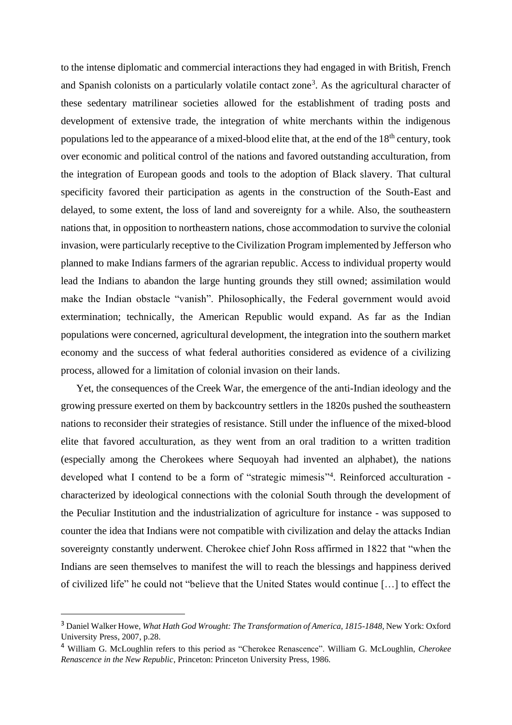to the intense diplomatic and commercial interactions they had engaged in with British, French and Spanish colonists on a particularly volatile contact zone<sup>3</sup>. As the agricultural character of these sedentary matrilinear societies allowed for the establishment of trading posts and development of extensive trade, the integration of white merchants within the indigenous populations led to the appearance of a mixed-blood elite that, at the end of the 18<sup>th</sup> century, took over economic and political control of the nations and favored outstanding acculturation, from the integration of European goods and tools to the adoption of Black slavery. That cultural specificity favored their participation as agents in the construction of the South-East and delayed, to some extent, the loss of land and sovereignty for a while. Also, the southeastern nations that, in opposition to northeastern nations, chose accommodation to survive the colonial invasion, were particularly receptive to the Civilization Program implemented by Jefferson who planned to make Indians farmers of the agrarian republic. Access to individual property would lead the Indians to abandon the large hunting grounds they still owned; assimilation would make the Indian obstacle "vanish". Philosophically, the Federal government would avoid extermination; technically, the American Republic would expand. As far as the Indian populations were concerned, agricultural development, the integration into the southern market economy and the success of what federal authorities considered as evidence of a civilizing process, allowed for a limitation of colonial invasion on their lands.

Yet, the consequences of the Creek War, the emergence of the anti-Indian ideology and the growing pressure exerted on them by backcountry settlers in the 1820s pushed the southeastern nations to reconsider their strategies of resistance. Still under the influence of the mixed-blood elite that favored acculturation, as they went from an oral tradition to a written tradition (especially among the Cherokees where Sequoyah had invented an alphabet), the nations developed what I contend to be a form of "strategic mimesis"<sup>4</sup>. Reinforced acculturation characterized by ideological connections with the colonial South through the development of the Peculiar Institution and the industrialization of agriculture for instance - was supposed to counter the idea that Indians were not compatible with civilization and delay the attacks Indian sovereignty constantly underwent. Cherokee chief John Ross affirmed in 1822 that "when the Indians are seen themselves to manifest the will to reach the blessings and happiness derived of civilized life" he could not "believe that the United States would continue […] to effect the

<sup>3</sup> Daniel Walker Howe, *What Hath God Wrought: The Transformation of America, 1815-1848*, New York: Oxford University Press, 2007, p.28.

<sup>4</sup> William G. McLoughlin refers to this period as "Cherokee Renascence". William G. McLoughlin, *Cherokee Renascence in the New Republic*, Princeton: Princeton University Press, 1986.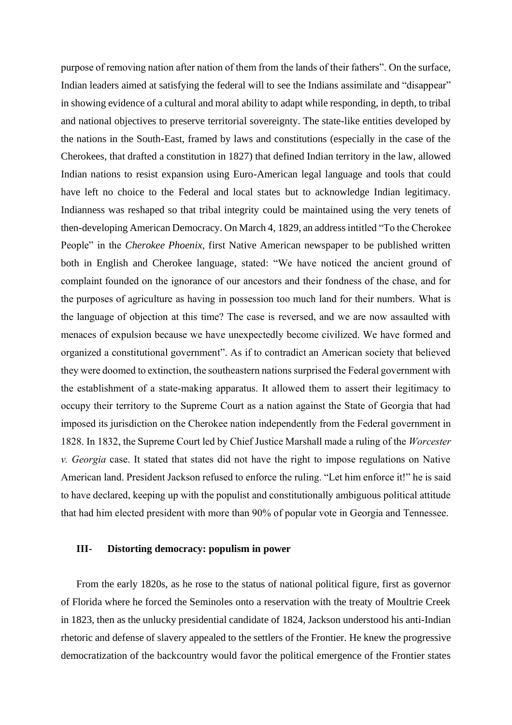purpose of removing nation after nation of them from the lands of their fathers". On the surface, Indian leaders aimed at satisfying the federal will to see the Indians assimilate and "disappear" in showing evidence of a cultural and moral ability to adapt while responding, in depth, to tribal and national objectives to preserve territorial sovereignty. The state-like entities developed by the nations in the South-East, framed by laws and constitutions (especially in the case of the Cherokees, that drafted a constitution in 1827) that defined Indian territory in the law, allowed Indian nations to resist expansion using Euro-American legal language and tools that could have left no choice to the Federal and local states but to acknowledge Indian legitimacy. Indianness was reshaped so that tribal integrity could be maintained using the very tenets of then-developing American Democracy. On March 4, 1829, an address intitled "To the Cherokee People" in the *Cherokee Phoenix*, first Native American newspaper to be published written both in English and Cherokee language, stated: "We have noticed the ancient ground of complaint founded on the ignorance of our ancestors and their fondness of the chase, and for the purposes of agriculture as having in possession too much land for their numbers. What is the language of objection at this time? The case is reversed, and we are now assaulted with menaces of expulsion because we have unexpectedly become civilized. We have formed and organized a constitutional government". As if to contradict an American society that believed they were doomed to extinction, the southeastern nations surprised the Federal government with the establishment of a state-making apparatus. It allowed them to assert their legitimacy to occupy their territory to the Supreme Court as a nation against the State of Georgia that had imposed its jurisdiction on the Cherokee nation independently from the Federal government in 1828. In 1832, the Supreme Court led by Chief Justice Marshall made a ruling of the *Worcester v. Georgia* case. It stated that states did not have the right to impose regulations on Native American land. President Jackson refused to enforce the ruling. "Let him enforce it!" he is said to have declared, keeping up with the populist and constitutionally ambiguous political attitude that had him elected president with more than 90% of popular vote in Georgia and Tennessee.

#### **III- Distorting democracy: populism in power**

From the early 1820s, as he rose to the status of national political figure, first as governor of Florida where he forced the Seminoles onto a reservation with the treaty of Moultrie Creek in 1823, then as the unlucky presidential candidate of 1824, Jackson understood his anti-Indian rhetoric and defense of slavery appealed to the settlers of the Frontier. He knew the progressive democratization of the backcountry would favor the political emergence of the Frontier states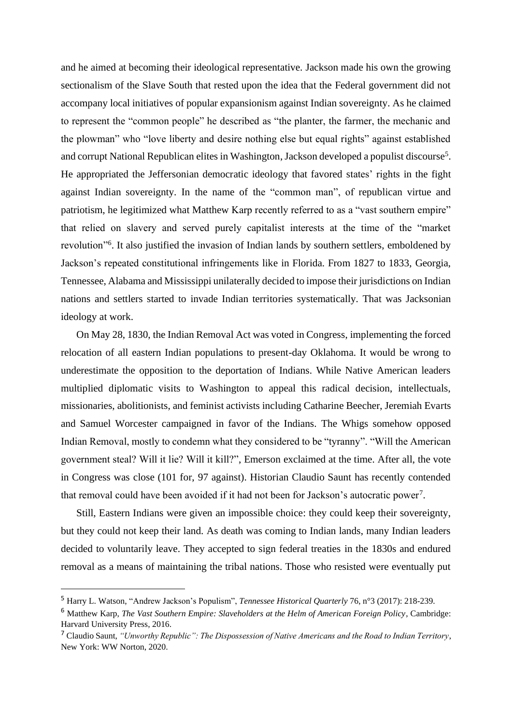and he aimed at becoming their ideological representative. Jackson made his own the growing sectionalism of the Slave South that rested upon the idea that the Federal government did not accompany local initiatives of popular expansionism against Indian sovereignty. As he claimed to represent the "common people" he described as "the planter, the farmer, the mechanic and the plowman" who "love liberty and desire nothing else but equal rights" against established and corrupt National Republican elites in Washington, Jackson developed a populist discourse<sup>5</sup>. He appropriated the Jeffersonian democratic ideology that favored states' rights in the fight against Indian sovereignty. In the name of the "common man", of republican virtue and patriotism, he legitimized what Matthew Karp recently referred to as a "vast southern empire" that relied on slavery and served purely capitalist interests at the time of the "market revolution"<sup>6</sup>. It also justified the invasion of Indian lands by southern settlers, emboldened by Jackson's repeated constitutional infringements like in Florida. From 1827 to 1833, Georgia, Tennessee, Alabama and Mississippi unilaterally decided to impose their jurisdictions on Indian nations and settlers started to invade Indian territories systematically. That was Jacksonian ideology at work.

On May 28, 1830, the Indian Removal Act was voted in Congress, implementing the forced relocation of all eastern Indian populations to present-day Oklahoma. It would be wrong to underestimate the opposition to the deportation of Indians. While Native American leaders multiplied diplomatic visits to Washington to appeal this radical decision, intellectuals, missionaries, abolitionists, and feminist activists including Catharine Beecher, Jeremiah Evarts and Samuel Worcester campaigned in favor of the Indians. The Whigs somehow opposed Indian Removal, mostly to condemn what they considered to be "tyranny". "Will the American government steal? Will it lie? Will it kill?", Emerson exclaimed at the time. After all, the vote in Congress was close (101 for, 97 against). Historian Claudio Saunt has recently contended that removal could have been avoided if it had not been for Jackson's autocratic power<sup>7</sup>.

Still, Eastern Indians were given an impossible choice: they could keep their sovereignty, but they could not keep their land. As death was coming to Indian lands, many Indian leaders decided to voluntarily leave. They accepted to sign federal treaties in the 1830s and endured removal as a means of maintaining the tribal nations. Those who resisted were eventually put

<sup>5</sup> Harry L. Watson, "Andrew Jackson's Populism", *Tennessee Historical Quarterly* 76, n°3 (2017): 218-239.

<sup>6</sup> Matthew Karp, *The Vast Southern Empire: Slaveholders at the Helm of American Foreign Policy*, Cambridge: Harvard University Press, 2016.

<sup>7</sup> Claudio Saunt, *"Unworthy Republic": The Dispossession of Native Americans and the Road to Indian Territory*, New York: WW Norton, 2020.